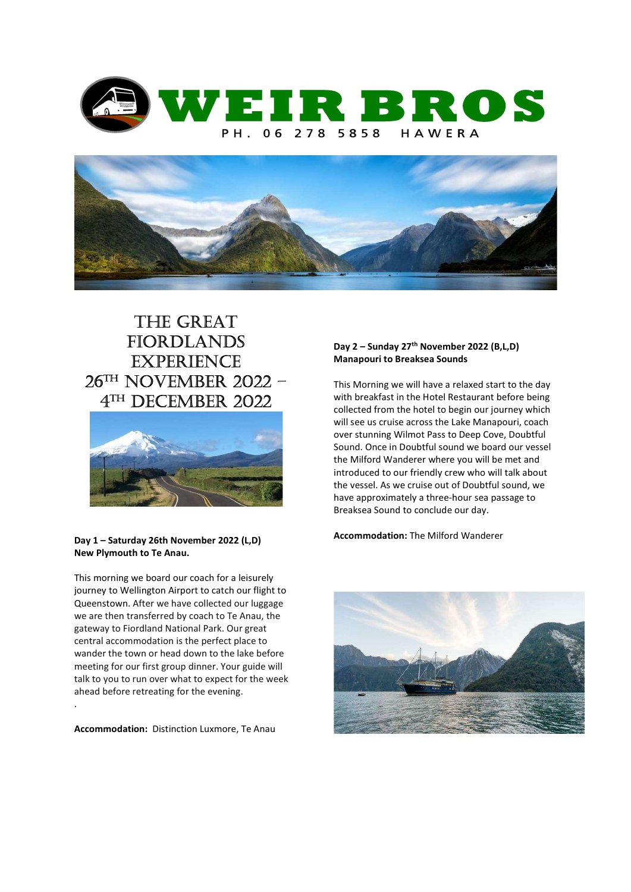



# The GreaT **FIORDLANDS EXPERIENCE** 26Th november 2022 – 4 Th december 2022



# Day 1 – Saturday 26th November 2022 (L,D) New Plymouth to Te Anau.

This morning we board our coach for a leisurely journey to Wellington Airport to catch our flight to Queenstown. After we have collected our luggage we are then transferred by coach to Te Anau, the gateway to Fiordland National Park. Our great central accommodation is the perfect place to wander the town or head down to the lake before meeting for our first group dinner. Your guide will talk to you to run over what to expect for the week ahead before retreating for the evening.

Accommodation: Distinction Luxmore, Te Anau

.

# Day 2 – Sunday 27<sup>th</sup> November 2022 (B,L,D) Manapouri to Breaksea Sounds

This Morning we will have a relaxed start to the day with breakfast in the Hotel Restaurant before being collected from the hotel to begin our journey which will see us cruise across the Lake Manapouri, coach over stunning Wilmot Pass to Deep Cove, Doubtful Sound. Once in Doubtful sound we board our vessel the Milford Wanderer where you will be met and introduced to our friendly crew who will talk about the vessel. As we cruise out of Doubtful sound, we have approximately a three-hour sea passage to Breaksea Sound to conclude our day.

# Accommodation: The Milford Wanderer

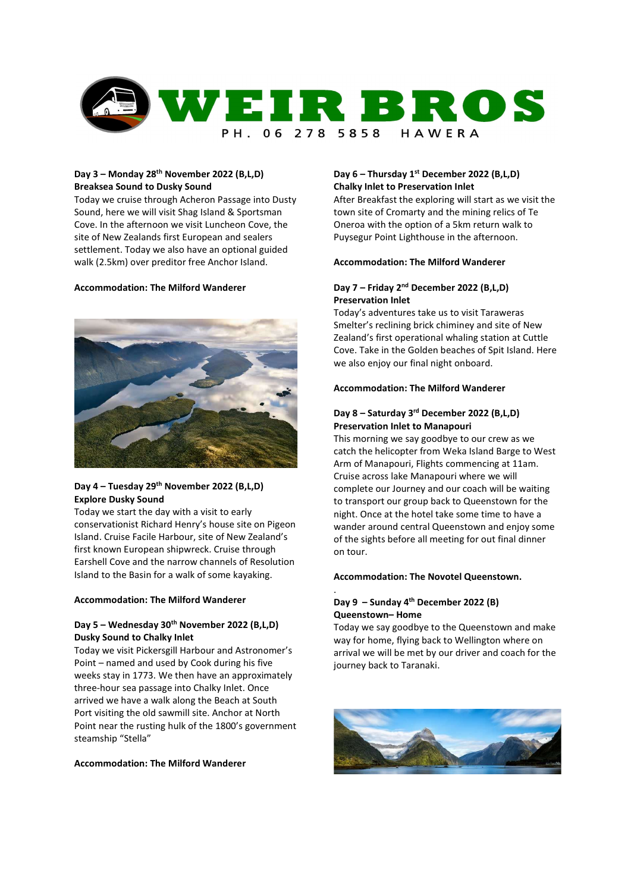

# Day 3 – Monday 28th November 2022 (B,L,D) Breaksea Sound to Dusky Sound

Today we cruise through Acheron Passage into Dusty Sound, here we will visit Shag Island & Sportsman Cove. In the afternoon we visit Luncheon Cove, the site of New Zealands first European and sealers settlement. Today we also have an optional guided walk (2.5km) over preditor free Anchor Island.

# Accommodation: The Milford Wanderer



# Day 4 – Tuesday 29<sup>th</sup> November 2022 (B,L,D) Explore Dusky Sound

Today we start the day with a visit to early conservationist Richard Henry's house site on Pigeon Island. Cruise Facile Harbour, site of New Zealand's first known European shipwreck. Cruise through Earshell Cove and the narrow channels of Resolution Island to the Basin for a walk of some kayaking.

# Accommodation: The Milford Wanderer

# Day 5 – Wednesday 30<sup>th</sup> November 2022 (B,L,D) Dusky Sound to Chalky Inlet

Today we visit Pickersgill Harbour and Astronomer's Point – named and used by Cook during his five weeks stay in 1773. We then have an approximately three-hour sea passage into Chalky Inlet. Once arrived we have a walk along the Beach at South Port visiting the old sawmill site. Anchor at North Point near the rusting hulk of the 1800's government steamship "Stella"

# Accommodation: The Milford Wanderer

# Day 6 – Thursday 1st December 2022 (B,L,D) Chalky Inlet to Preservation Inlet

After Breakfast the exploring will start as we visit the town site of Cromarty and the mining relics of Te Oneroa with the option of a 5km return walk to Puysegur Point Lighthouse in the afternoon.

# Accommodation: The Milford Wanderer

# Day 7 – Friday 2nd December 2022 (B,L,D) Preservation Inlet

Today's adventures take us to visit Taraweras Smelter's reclining brick chiminey and site of New Zealand's first operational whaling station at Cuttle Cove. Take in the Golden beaches of Spit Island. Here we also enjoy our final night onboard.

# Accommodation: The Milford Wanderer

# Day 8 – Saturday 3rd December 2022 (B,L,D) Preservation Inlet to Manapouri

This morning we say goodbye to our crew as we catch the helicopter from Weka Island Barge to West Arm of Manapouri, Flights commencing at 11am. Cruise across lake Manapouri where we will complete our Journey and our coach will be waiting to transport our group back to Queenstown for the night. Once at the hotel take some time to have a wander around central Queenstown and enjoy some of the sights before all meeting for out final dinner on tour.

## Accommodation: The Novotel Queenstown.

# Day  $9 -$  Sunday 4<sup>th</sup> December 2022 (B) Queenstown– Home

.

Today we say goodbye to the Queenstown and make way for home, flying back to Wellington where on arrival we will be met by our driver and coach for the journey back to Taranaki.

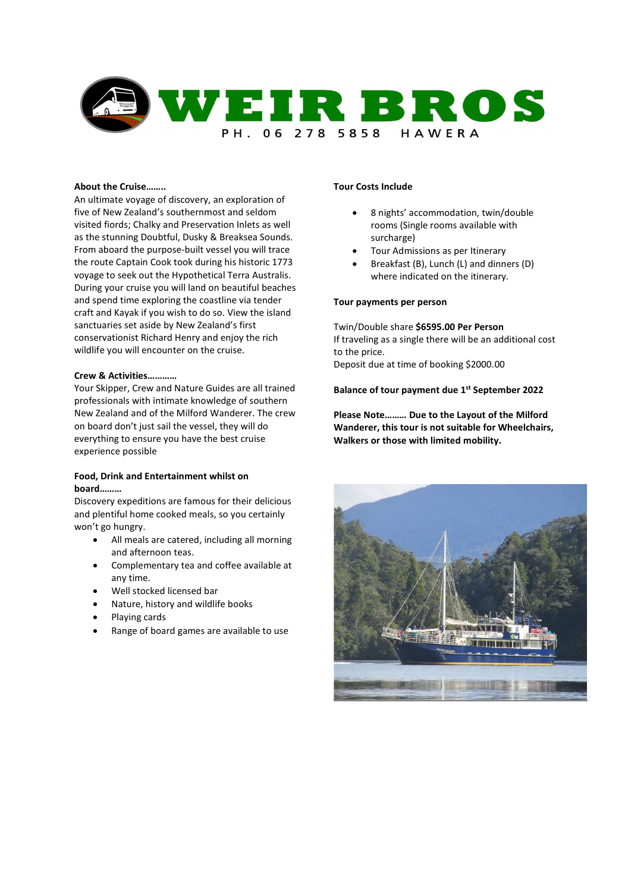

#### About the Cruise……..

An ultimate voyage of discovery, an exploration of five of New Zealand's southernmost and seldom visited fiords; Chalky and Preservation Inlets as well as the stunning Doubtful, Dusky & Breaksea Sounds. From aboard the purpose-built vessel you will trace the route Captain Cook took during his historic 1773 voyage to seek out the Hypothetical Terra Australis. During your cruise you will land on beautiful beaches and spend time exploring the coastline via tender craft and Kayak if you wish to do so. View the island sanctuaries set aside by New Zealand's first conservationist Richard Henry and enjoy the rich wildlife you will encounter on the cruise.

# Crew & Activities…………

Your Skipper, Crew and Nature Guides are all trained professionals with intimate knowledge of southern New Zealand and of the Milford Wanderer. The crew on board don't just sail the vessel, they will do everything to ensure you have the best cruise experience possible

# Food, Drink and Entertainment whilst on board………

Discovery expeditions are famous for their delicious and plentiful home cooked meals, so you certainly won't go hungry.

- All meals are catered, including all morning and afternoon teas.
- Complementary tea and coffee available at any time.
- Well stocked licensed bar
- Nature, history and wildlife books
- Playing cards
- Range of board games are available to use

# Tour Costs Include

- 8 nights' accommodation, twin/double rooms (Single rooms available with surcharge)
- Tour Admissions as per Itinerary
- Breakfast (B), Lunch (L) and dinners (D) where indicated on the itinerary.

# Tour payments per person

Twin/Double share \$6595.00 Per Person If traveling as a single there will be an additional cost to the price. Deposit due at time of booking \$2000.00

## Balance of tour payment due 1<sup>st</sup> September 2022

Please Note……… Due to the Layout of the Milford Wanderer, this tour is not suitable for Wheelchairs, Walkers or those with limited mobility.